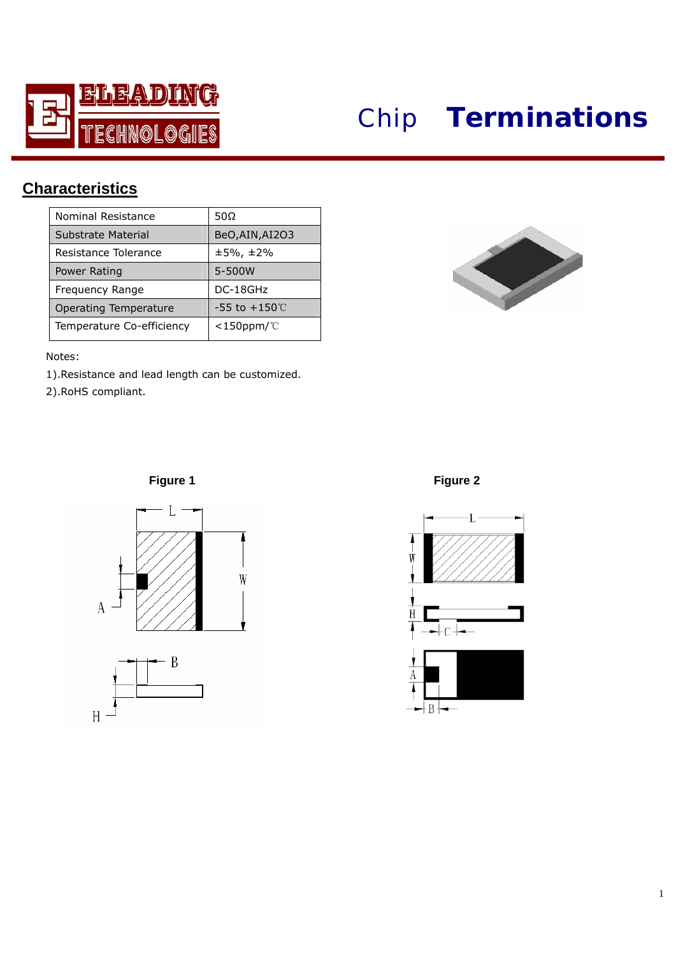

## *Chip* **Terminations**

## **Cha racteristics**

| Nominal Resistance        | 50Ω                       |  |  |  |
|---------------------------|---------------------------|--|--|--|
| Substrate Material        | BeO, AIN, AI2O3           |  |  |  |
| Resistance Tolerance      | $±5\%$ , $±2\%$           |  |  |  |
| Power Rating              | 5-500W                    |  |  |  |
| Frequency Range           | DC-18GHz                  |  |  |  |
| Operating Temperature     | $-55$ to $+150^{\circ}$ C |  |  |  |
| Temperature Co-efficiency | $<$ 150ppm/ $\degree$ C   |  |  |  |

I

Notes:

1).Resistance and lead length can be customized.

2).RoHS compliant.





**Figure 1 Figure 2** 



┼В┾━